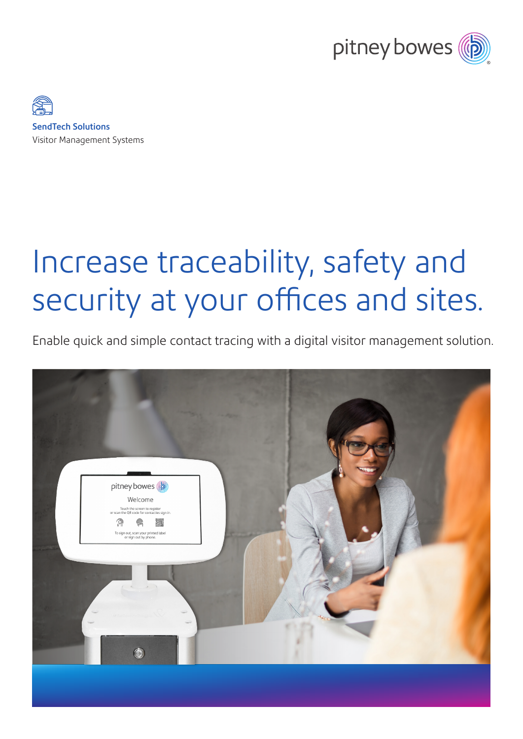



# Increase traceability, safety and security at your offices and sites.

Enable quick and simple contact tracing with a digital visitor management solution.

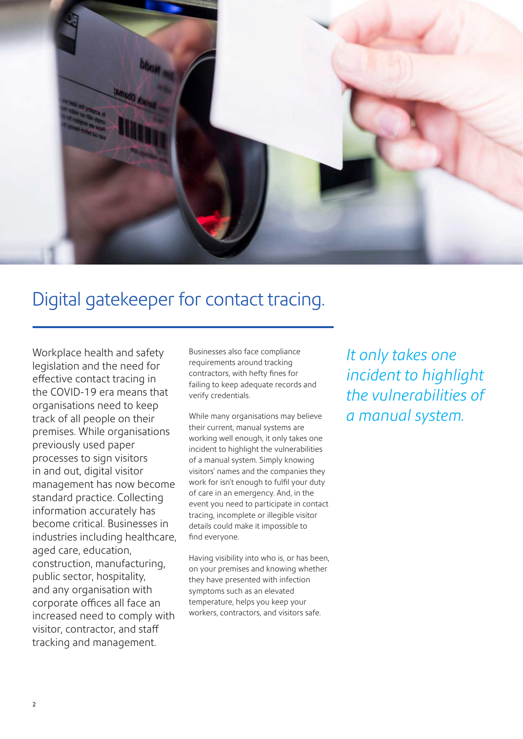

# Digital gatekeeper for contact tracing.

Workplace health and safety legislation and the need for effective contact tracing in the COVID-19 era means that organisations need to keep track of all people on their premises. While organisations previously used paper processes to sign visitors in and out, digital visitor management has now become standard practice. Collecting information accurately has become critical. Businesses in industries including healthcare, aged care, education, construction, manufacturing, public sector, hospitality, and any organisation with corporate offices all face an increased need to comply with visitor, contractor, and staff tracking and management.

Businesses also face compliance requirements around tracking contractors, with hefty fines for failing to keep adequate records and verify credentials.

While many organisations may believe their current, manual systems are working well enough, it only takes one incident to highlight the vulnerabilities of a manual system. Simply knowing visitors' names and the companies they work for isn't enough to fulfil your duty of care in an emergency. And, in the event you need to participate in contact tracing, incomplete or illegible visitor details could make it impossible to find everyone.

Having visibility into who is, or has been, on your premises and knowing whether they have presented with infection symptoms such as an elevated temperature, helps you keep your workers, contractors, and visitors safe.

*It only takes one incident to highlight the vulnerabilities of a manual system.*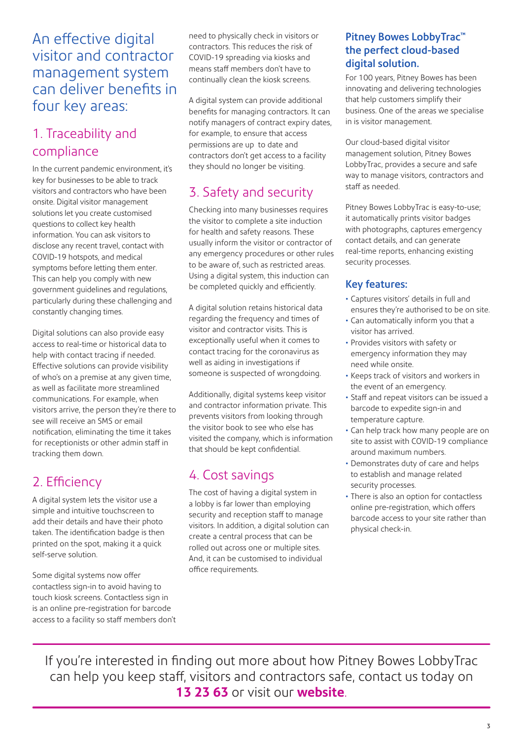#### An effective digital visitor and contractor management system can deliver benefits in four key areas:

### 1. Traceability and compliance

In the current pandemic environment, it's key for businesses to be able to track visitors and contractors who have been onsite. Digital visitor management solutions let you create customised questions to collect key health information. You can ask visitors to disclose any recent travel, contact with COVID-19 hotspots, and medical symptoms before letting them enter. This can help you comply with new government guidelines and regulations, particularly during these challenging and constantly changing times.

Digital solutions can also provide easy access to real-time or historical data to help with contact tracing if needed. Effective solutions can provide visibility of who's on a premise at any given time, as well as facilitate more streamlined communications. For example, when visitors arrive, the person they're there to see will receive an SMS or email notification, eliminating the time it takes for receptionists or other admin staff in tracking them down.

#### 2. Efficiency

A digital system lets the visitor use a simple and intuitive touchscreen to add their details and have their photo taken. The identification badge is then printed on the spot, making it a quick self-serve solution.

Some digital systems now offer contactless sign-in to avoid having to touch kiosk screens. Contactless sign in is an online pre-registration for barcode access to a facility so staff members don't need to physically check in visitors or contractors. This reduces the risk of COVID-19 spreading via kiosks and means staff members don't have to continually clean the kiosk screens.

A digital system can provide additional benefits for managing contractors. It can notify managers of contract expiry dates, for example, to ensure that access permissions are up to date and contractors don't get access to a facility they should no longer be visiting.

# 3. Safety and security

Checking into many businesses requires the visitor to complete a site induction for health and safety reasons. These usually inform the visitor or contractor of any emergency procedures or other rules to be aware of, such as restricted areas. Using a digital system, this induction can be completed quickly and efficiently.

A digital solution retains historical data regarding the frequency and times of visitor and contractor visits. This is exceptionally useful when it comes to contact tracing for the coronavirus as well as aiding in investigations if someone is suspected of wrongdoing.

Additionally, digital systems keep visitor and contractor information private. This prevents visitors from looking through the visitor book to see who else has visited the company, which is information that should be kept confidential.

## 4. Cost savings

The cost of having a digital system in a lobby is far lower than employing security and reception staff to manage visitors. In addition, a digital solution can create a central process that can be rolled out across one or multiple sites. And, it can be customised to individual office requirements.

#### Pitney Bowes LobbyTrac™ the perfect cloud-based digital solution.

For 100 years, Pitney Bowes has been innovating and delivering technologies that help customers simplify their business. One of the areas we specialise in is visitor management.

Our cloud-based digital visitor management solution, Pitney Bowes LobbyTrac, provides a secure and safe way to manage visitors, contractors and staff as needed.

Pitney Bowes LobbyTrac is easy-to-use; it automatically prints visitor badges with photographs, captures emergency contact details, and can generate real-time reports, enhancing existing security processes.

#### Key features:

- Captures visitors' details in full and ensures they're authorised to be on site.
- Can automatically inform you that a visitor has arrived.
- Provides visitors with safety or emergency information they may need while onsite.
- Keeps track of visitors and workers in the event of an emergency.
- Staff and repeat visitors can be issued a barcode to expedite sign-in and temperature capture.
- Can help track how many people are on site to assist with COVID-19 compliance around maximum numbers.
- Demonstrates duty of care and helps to establish and manage related security processes.
- There is also an option for contactless online pre-registration, which offers barcode access to your site rather than physical check-in.

If you're interested in finding out more about how Pitney Bowes LobbyTrac can help you keep staff, visitors and contractors safe, contact us today on **13 23 63** or visit our **website**.